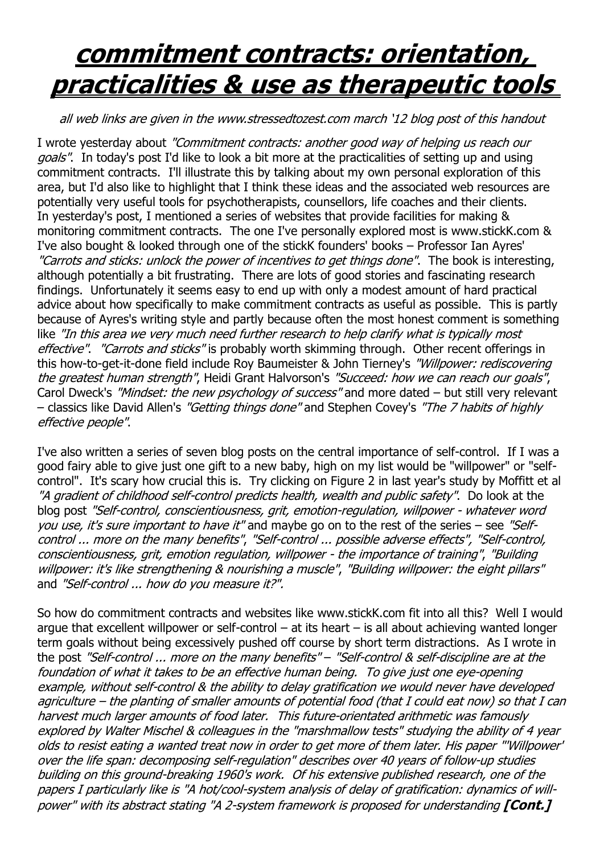## **commitment contracts: orientation, practicalities & use as therapeutic tools**

## all web links are given in the www.stressedtozest.com march '12 blog post of this handout

I wrote yesterday about "Commitment contracts: another good way of helping us reach our goals". In today's post I'd like to look a bit more at the practicalities of setting up and using commitment contracts. I'll illustrate this by talking about my own personal exploration of this area, but I'd also like to highlight that I think these ideas and the associated web resources are potentially very useful tools for psychotherapists, counsellors, life coaches and their clients. In yesterday's post, I mentioned a series of websites that provide facilities for making & monitoring commitment contracts. The one I've personally explored most is www.stickK.com & I've also bought & looked through one of the stickK founders' books – Professor Ian Ayres' "Carrots and sticks: unlock the power of incentives to get things done". The book is interesting, although potentially a bit frustrating. There are lots of good stories and fascinating research findings. Unfortunately it seems easy to end up with only a modest amount of hard practical advice about how specifically to make commitment contracts as useful as possible. This is partly because of Ayres's writing style and partly because often the most honest comment is something like "In this area we very much need further research to help clarify what is typically most effective". "Carrots and sticks" is probably worth skimming through. Other recent offerings in this how-to-get-it-done field include Roy Baumeister & John Tierney's "Willpower: rediscovering the greatest human strength", Heidi Grant Halvorson's "Succeed: how we can reach our goals", Carol Dweck's "Mindset: the new psychology of success" and more dated – but still very relevant – classics like David Allen's "Getting things done" and Stephen Covey's "The 7 habits of highly effective people".

I've also written a series of seven blog posts on the central importance of self-control. If I was a good fairy able to give just one gift to a new baby, high on my list would be "willpower" or "selfcontrol". It's scary how crucial this is. Try clicking on Figure 2 in last year's study by Moffitt et al "A gradient of childhood self-control predicts health, wealth and public safety". Do look at the blog post "Self-control, conscientiousness, grit, emotion-regulation, willpower - whatever word you use, it's sure important to have it" and maybe go on to the rest of the series – see "Selfcontrol ... more on the many benefits", "Self-control ... possible adverse effects", "Self-control, conscientiousness, grit, emotion regulation, willpower - the importance of training", "Building willpower: it's like strengthening & nourishing a muscle", "Building willpower: the eight pillars" and "Self-control ... how do you measure it?".

So how do commitment contracts and websites like www.stickK.com fit into all this? Well I would argue that excellent willpower or self-control  $-$  at its heart  $-$  is all about achieving wanted longer term goals without being excessively pushed off course by short term distractions. As I wrote in the post "Self-control ... more on the many benefits" – "Self-control & self-discipline are at the foundation of what it takes to be an effective human being. To give just one eye-opening example, without self-control & the ability to delay gratification we would never have developed agriculture – the planting of smaller amounts of potential food (that I could eat now) so that I can harvest much larger amounts of food later. This future-orientated arithmetic was famously explored by Walter Mischel & colleagues in the "marshmallow tests" studying the ability of 4 year olds to resist eating a wanted treat now in order to get more of them later. His paper "'Willpower' over the life span: decomposing self-regulation" describes over 40 years of follow-up studies building on this ground-breaking 1960's work. Of his extensive published research, one of the papers I particularly like is "A hot/cool-system analysis of delay of gratification: dynamics of willpower" with its abstract stating "A 2-system framework is proposed for understanding **[Cont.]**